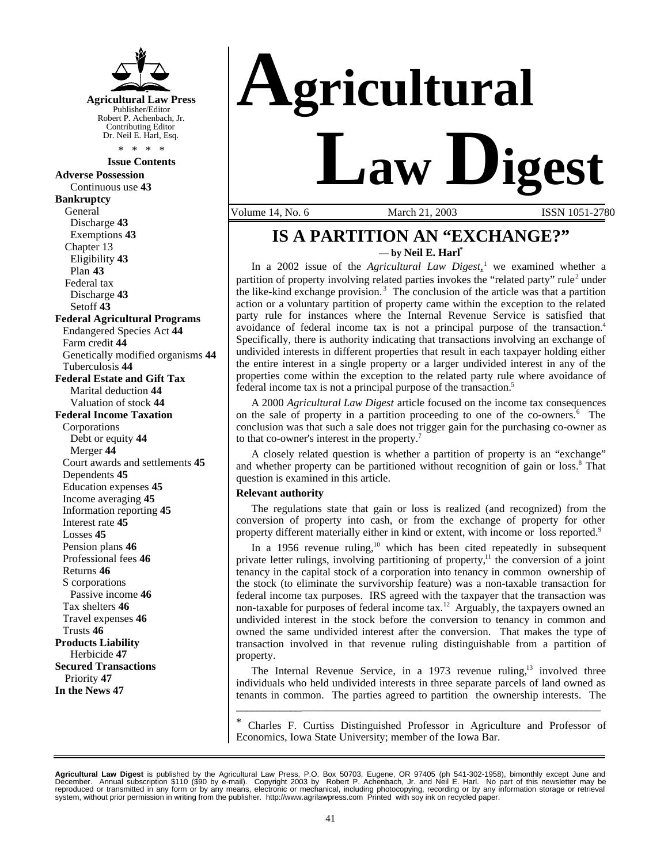

#### **Issue Contents**

**Adverse Possession** Continuous use **43 Bankruptcy** General Discharge **43** Exemptions **43** Chapter 13 Eligibility **43** Plan **43** Federal tax Discharge **43** Setoff **43 Federal Agricultural Programs** Endangered Species Act **44** Farm credit **44** Genetically modified organisms **44** Tuberculosis **44 Federal Estate and Gift Tax** Marital deduction **44** Valuation of stock **44 Federal Income Taxation** Corporations Debt or equity **44** Merger **44** Court awards and settlements **45** Dependents **45** Education expenses **45** Income averaging **45** Information reporting **45** Interest rate **45** Losses **45** Pension plans **46** Professional fees **46** Returns **46** S corporations Passive income **46** Tax shelters **46** Travel expenses **46** Trusts **46 Products Liability** Herbicide **47 Secured Transactions** Priority **47 In the News 47**



Volume 14, No. 6 March 21, 2003 ISSN 1051-2780

# **IS A PARTITION AN "EXCHANGE?"** — **by Neil E. Harl\***

In a 2002 issue of the *Agricultural Law Digest*<sup>1</sup> we examined whether a partition of property involving related parties invokes the "related party" rule<sup>2</sup> under the like-kind exchange provision.<sup>3</sup> The conclusion of the article was that a partition action or a voluntary partition of property came within the exception to the related party rule for instances where the Internal Revenue Service is satisfied that avoidance of federal income tax is not a principal purpose of the transaction.<sup>4</sup> Specifically, there is authority indicating that transactions involving an exchange of undivided interests in different properties that result in each taxpayer holding either the entire interest in a single property or a larger undivided interest in any of the properties come within the exception to the related party rule where avoidance of federal income tax is not a principal purpose of the transaction.<sup>5</sup>

A 2000 *Agricultural Law Digest* article focused on the income tax consequences on the sale of property in a partition proceeding to one of the co-owners.<sup>6</sup> The conclusion was that such a sale does not trigger gain for the purchasing co-owner as to that co-owner's interest in the property.<sup>7</sup>

A closely related question is whether a partition of property is an "exchange" and whether property can be partitioned without recognition of gain or loss.<sup>8</sup> That question is examined in this article.

## **Relevant authority**

The regulations state that gain or loss is realized (and recognized) from the conversion of property into cash, or from the exchange of property for other property different materially either in kind or extent, with income or loss reported.<sup>9</sup>

In a 1956 revenue ruling, $10$  which has been cited repeatedly in subsequent private letter rulings, involving partitioning of property, $1$ <sup>1</sup> the conversion of a joint tenancy in the capital stock of a corporation into tenancy in common ownership of the stock (to eliminate the survivorship feature) was a non-taxable transaction for federal income tax purposes. IRS agreed with the taxpayer that the transaction was non-taxable for purposes of federal income tax.<sup>12</sup> Arguably, the taxpayers owned an undivided interest in the stock before the conversion to tenancy in common and owned the same undivided interest after the conversion. That makes the type of transaction involved in that revenue ruling distinguishable from a partition of property.

The Internal Revenue Service, in a 1973 revenue ruling, $13$  involved three individuals who held undivided interests in three separate parcels of land owned as tenants in common. The parties agreed to partition the ownership interests. The

\_\_\_\_\_\_\_\_\_\_\_\_\_\_\_\_\_\_\_\_\_\_\_\_\_\_\_\_\_\_\_\_\_\_\_\_\_\_\_\_\_\_\_\_\_\_\_\_\_\_\_\_\_\_\_\_\_\_\_\_\_\_\_\_\_\_\_\_\_\_\_\_\_

\* Charles F. Curtiss Distinguished Professor in Agriculture and Professor of Economics, Iowa State University; member of the Iowa Bar.

Agricultural Law Digest is published by the Agricultural Law Press, P.O. Box 50703, Eugene, OR 97405 (ph 541-302-1958), bimonthly except June and<br>December. Annual subscription \$110 (\$90 by e-mail). Copyright 2003 by Robert